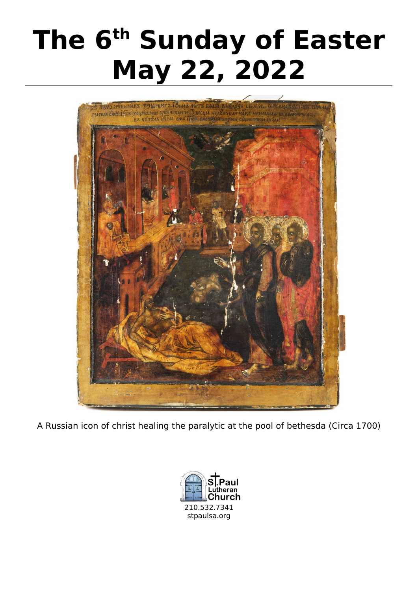# The 6<sup>th</sup> Sunday of Easter<br>May 22, 2022



A Russian icon of christ healing the paralytic at the pool of bethesda (Circa 1700)

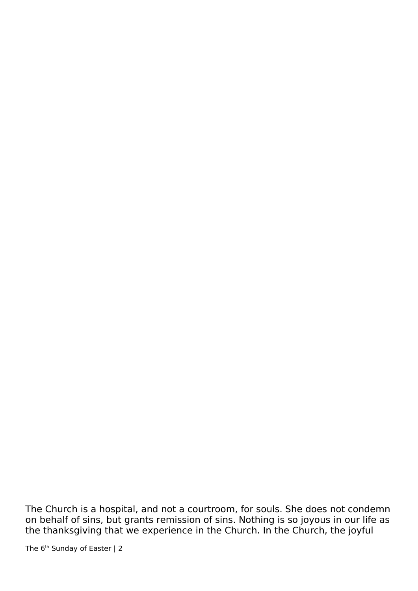The Church is a hospital, and not a courtroom, for souls. She does not condemn on behalf of sins, but grants remission of sins. Nothing is so joyous in our life as the thanksgiving that we experience in the Church. In the Church, the joyful

The 6<sup>th</sup> Sunday of Easter | 2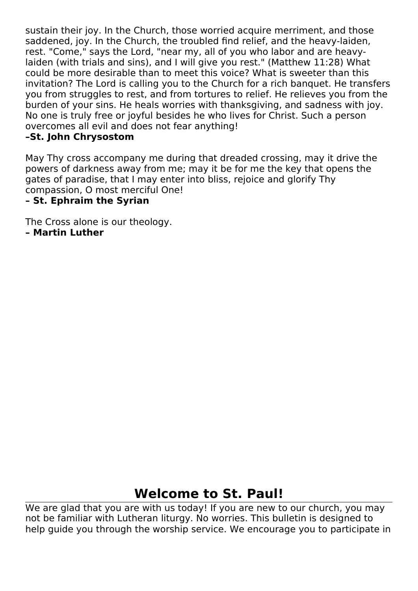sustain their joy. In the Church, those worried acquire merriment, and those saddened, joy. In the Church, the troubled find relief, and the heavy-laiden, rest. "Come," says the Lord, "near my, all of you who labor and are heavylaiden (with trials and sins), and I will give you rest." (Matthew 11:28) What could be more desirable than to meet this voice? What is sweeter than this invitation? The Lord is calling you to the Church for a rich banquet. He transfers you from struggles to rest, and from tortures to relief. He relieves you from the burden of your sins. He heals worries with thanksgiving, and sadness with joy. No one is truly free or joyful besides he who lives for Christ. Such a person overcomes all evil and does not fear anything!

**May Thy cross accompa**<br>
powers of darkness awa<br>
gates of paradise, that I May Thy cross accompany me during that dreaded crossing, may it drive the powers of darkness away from me; may it be for me the key that opens the gates of paradise, that I may enter into bliss, rejoice and glorify Thy compassion, O most merciful One!

**The Cross alone is our theo**<br>**- Martin Luther** The Cross alone is our theology.

**– Martin Luther**

## **Welcome to St. Paul!**

We are glad that you are with us today! If you are new to our church, you may<br>not be familiar with Lutheran liturgy. No worries. This bulletin is designed to<br>help guide you through the worship service. We encourage you to not be familiar with Lutheran liturgy. No worries. This bulletin is designed to help guide you through the worship service. We encourage you to participate in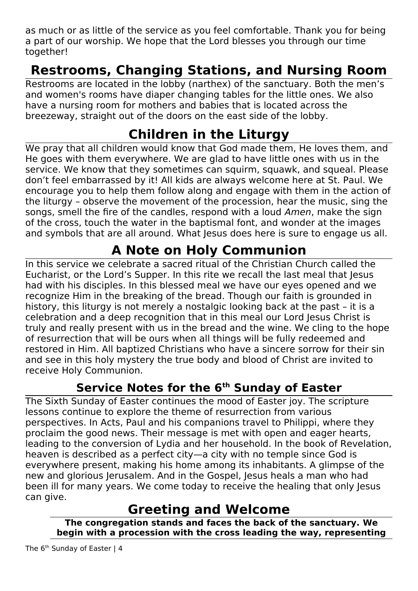as much or as little of the service as you feel comfortable. Thank you for being a part of our worship. We hope that the Lord blesses you through our time together!

**Restrooms are located in the lobby (narthex) of the sanctuary. Both the men's**<br>and women's rooms have diaper changing tables for the little ones. We also<br>have a nursing room for mothers and babies that is located across t and women's rooms have diaper changing tables for the little ones. We also have a nursing room for mothers and babies that is located across the breezeway, straight out of the doors on the east side of the lobby.

We pray that all children would know that God made them, He loves them, and<br>He goes with them everywhere. We are glad to have little ones with us in the<br>service. We know that they sometimes can squirm, squawk, and squeal. He goes with them everywhere. We are glad to have little ones with us in the service. We know that they sometimes can squirm, squawk, and squeal. Please don't feel embarrassed by it! All kids are always welcome here at St. Paul. We encourage you to help them follow along and engage with them in the action of the liturgy – observe the movement of the procession, hear the music, sing the songs, smell the fire of the candles, respond with a loud Amen, make the sign of the cross, touch the water in the baptismal font, and wonder at the images and symbols that are all around. What Jesus does here is sure to engage us all.

In this service we celebrate a sacred ritual of the Christian Church called the<br>Eucharist, or the Lord's Supper. In this rite we recall the last meal that Jesus<br>had with his disciples. In this blessed meal we have our eyes Eucharist, or the Lord's Supper. In this rite we recall the last meal that Jesus had with his disciples. In this blessed meal we have our eyes opened and we recognize Him in the breaking of the bread. Though our faith is grounded in history, this liturgy is not merely a nostalgic looking back at the past – it is a celebration and a deep recognition that in this meal our Lord Jesus Christ is truly and really present with us in the bread and the wine. We cling to the hope of resurrection that will be ours when all things will be fully redeemed and restored in Him. All baptized Christians who have a sincere sorrow for their sin and see in this holy mystery the true body and blood of Christ are invited to receive Holy Communion.

The Sixth Sunday of Easter continues the mood of Easter joy. The scripture lessons continue to explore the theme of resurrection from various perspectives. In Acts, Paul and his companions travel to Philippi, where they pr lessons continue to explore the theme of resurrection from various perspectives. In Acts, Paul and his companions travel to Philippi, where they proclaim the good news. Their message is met with open and eager hearts, leading to the conversion of Lydia and her household. In the book of Revelation, heaven is described as a perfect city—a city with no temple since God is everywhere present, making his home among its inhabitants. A glimpse of the new and glorious Jerusalem. And in the Gospel, Jesus heals a man who had been ill for many years. We come today to receive the healing that only Jesus can give.

**Greeting and Welcome**<br>The congregation stands and faces the back of the sanctuary. We **begin with a procession with the cross leading the way, representing begins the cross leading the cross leading the cross leading the cross leading to the cross leading the way, representing the cross leading to the cross leading to the cross leading to the cross leading to the cross leadi**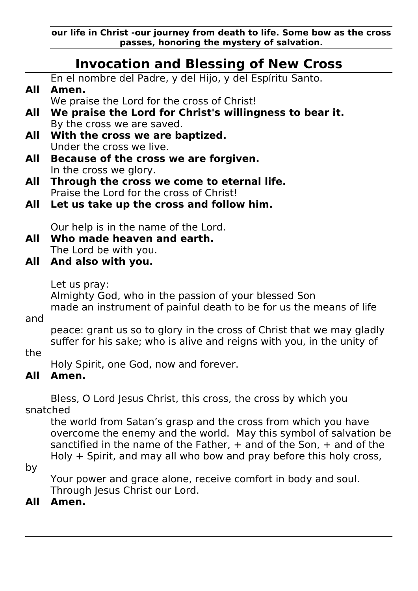**our life in Christ -our journey from death to life. Some bow as the cross**

## **Invocation and Blessing of New Cross**

|     | IIIVOCALIOII AIIA DICSSING OI NCW CIOSS                                                                                                         |
|-----|-------------------------------------------------------------------------------------------------------------------------------------------------|
|     | En el nombre del Padre, y del Hijo, y del Espíritu Santo.                                                                                       |
| All | Amen.                                                                                                                                           |
| All | We praise the Lord for the cross of Christ!                                                                                                     |
|     | We praise the Lord for Christ's willingness to bear it.<br>By the cross we are saved.                                                           |
| All | With the cross we are baptized.                                                                                                                 |
|     | Under the cross we live.                                                                                                                        |
| All | Because of the cross we are forgiven.                                                                                                           |
|     | In the cross we glory.                                                                                                                          |
| All | Through the cross we come to eternal life.                                                                                                      |
| All | Praise the Lord for the cross of Christ!<br>Let us take up the cross and follow him.                                                            |
|     |                                                                                                                                                 |
|     | Our help is in the name of the Lord.                                                                                                            |
| All | Who made heaven and earth.                                                                                                                      |
|     | The Lord be with you.                                                                                                                           |
| All | And also with you.                                                                                                                              |
|     | Let us pray:                                                                                                                                    |
|     | Almighty God, who in the passion of your blessed Son                                                                                            |
|     | made an instrument of painful death to be for us the means of life                                                                              |
| and |                                                                                                                                                 |
|     | peace: grant us so to glory in the cross of Christ that we may gladly<br>suffer for his sake; who is alive and reigns with you, in the unity of |
| the |                                                                                                                                                 |
|     | Holy Spirit, one God, now and forever.                                                                                                          |
| All | Amen.                                                                                                                                           |
|     |                                                                                                                                                 |
|     | Bless, O Lord Jesus Christ, this cross, the cross by which you<br>snatched                                                                      |
|     | the world from Satan's grasp and the cross from which you have                                                                                  |
|     | overcome the enemy and the world. May this symbol of salvation be                                                                               |
|     | sanctified in the name of the Father, $+$ and of the Son, $+$ and of the                                                                        |
|     | Holy $+$ Spirit, and may all who bow and pray before this holy cross,                                                                           |
| by  |                                                                                                                                                 |
|     | Your power and grace alone, receive comfort in body and soul.                                                                                   |

Through Jesus Christ our Lord.<br>**All Amen.** 

## **All Amen.**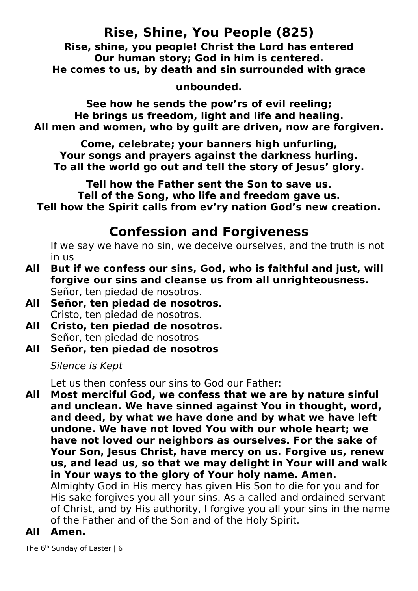**Rise, Shine, You People (825)**<br>Rise, shine, you people! Christ the Lord has entered<br>Our human story; God in him is centered.<br>Promes to us, by death and sin surrounded with grad<br>unbounded.<br>See how he sends the pow'rs of ev Our human story; God in him is centered.<br>
e comes to us, by death and sin surrounded with grad<br>
unbounded.

es to us, by death and sin surrounded wit<br>unbounded.<br>ee how he sends the pow'rs of evil reeling He brings us freedom, light and life and healing. **unded.**<br>Is the pow'r<br>lom, light and<br>by guilt are **Subsequent See hourses)**<br>The set of the selection of women, who by guilt are driven, now are<br>ind women, who by guilt are driven, now are<br>Some, celebrate; your banners high unfurling<br>songs and pravers against the darkness

and women, who by guilt are driven, now are fo<br>Come, celebrate; your banners high unfurling,<br>ur songs and prayers against the darkness hurlin<br>all the world go out and tell the story of lesus' gl **All men and women, the women guilt are driven, in the component of the component of the starting.**<br> **All the world go out and tell the story of Jesus' glory.**<br>  $\begin{bmatrix} 0 & 0 & 0 \\ 0 & 0 & 0 \\ 0 & 0 & 0 \\ 0 & 0 & 0 \\ 0 & 0 & 0 \\ 0 & 0 & 0 \\$ r songs and prayers against the darkness hurl<br>I the world go out and tell the story of Jesus' g<br>Tell how the Father sent the Son to save us.<br>Tell of the Song, who life and freedom gave us

**Your solution is all the world go out and tell the story of Jesus' glory<br>Tell how the Father sent the Son to save us.<br>Tell of the Song, who life and freedom gave us.<br>how the Spirit calls from ev'ry nation God's new creat** Tell how the Father sent the Son to save us.<br>Tell of the Song, who life and freedom gave us.<br>Tell how the Spirit calls from ev'ry nation God's new creation. **The Spirit calls from ev'ry nation God's new charge in the Spirit calls from ev'ry nation God's new charge Confession and Forgiveness** 

## **Confession and Forgiveness**

**Tell 19 Confession and Forgiveness**<br>If we say we have no sin, we deceive ourselves, and the truth is no<br>in us

- If we say we have no sin, we deceive ourselves, and the truth is not<br>in us<br>**But if we confess our sins, God, who is faithful and just, will**<br>**forgive our sins and cleanse us from all unrighteousness.**<br>Señor, ten piedad de in us<br>**But if we confess our sins, God, who is faithful and just, will All Franch Señor, ten piedad de nosotros.<br>
All Señor, ten piedad de nosotros.<br>
All Señor, ten piedad de nosotros.**<br>
Cristo, ten piedad de nosotros.<br> **All Cristo, ten piedad de nosotros.** Señor, ten piedad de nosotros.
- **Señor, ten piedad de nosotros.** Cristo, ten piedad de nosotros.
- **All Señor, ten piedad de nosotros.** Señor, ten piedad de nosotros
- **All Cristo, ten piedad de nosotros.**

Silence is Kept

Let us then confess our sins to God our Father:

All Most merciful God, we confess that we are by nature sinful and unclean. We have sinned against You in thought, word, and deed, by what we have done and by what we have left undone. We have not loved You with our whole heart; we have not loved our neighbors as ourselves. For the sa and deed, by what we have done and by what we have left undone. We have not loved You with our whole heart; we<br>have not loved our neighbors as ourselves. For the sake of<br>Your Son, Jesus Christ, have mercy on us. Forgive us, renev<br>us, and lead us, so that we may delight in Your have not loved our neighbors as ourselves. For the sake o<br>Your Son, Jesus Christ, have mercy on us. Forgive us, rene<br>us, and lead us, so that we may delight in Your will and w<br>in Your ways to the glory of Your holy name. A **Your Son, Jesus Christ, have mercy on us. Forgive us, renew**<br>us, and lead us, so that we may delight in Your will and wal<br>in Your ways to the glory of Your holy name. Amen.<br>Almighty God in His mercy has given His Son to d **us, and lead us, so that we may delight in Your will and walk in Your ways to the glory of Your holy name. Amen.**<br>Almighty God in His mercy has given His Son to die for you and for His sake forgives you all your sins. As **in Your ways to the glory of Your holy name. Amen.**<br>Almighty God in His mercy has given His Son to die for you and for<br>His sake forgives you all your sins. As a called and ordained servant<br>of Christ, and by His authority, Almighty God in His mercy has given His Son to die for you and for

Almighty God in His mercy has given His Son to die for your His sake forgives you all your sins. As a called and ordaine of Christ, and by His authority, I forgive you all your sins in of the Father and of the Son and of t His sake forgives you all your sins. As a called and ordained servant of Christ, and by His authority, I forgive you all your sins in the name of the Father and of the Son and of the Holy Spirit.

**AII** 

The 6<sup>th</sup> Sunday of The 6<sup>th</sup> Sunday of Easter | 6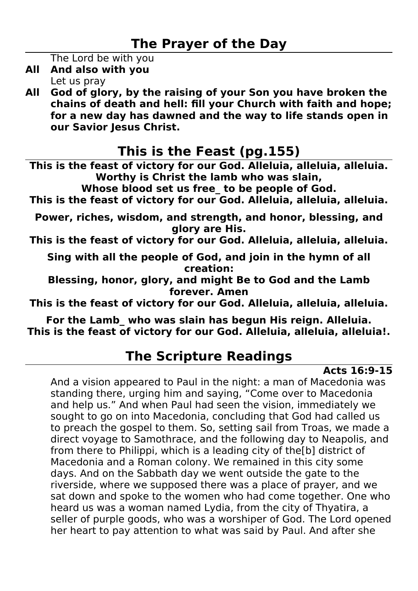The Lord be with you

- Let us pray
- **The Lord be with you<br>
The Lord be with you<br>
All And also with you<br>
Let us pray<br>
All God of glory, by the raising of your Son you have broken the<br>
chains of death and hell: fill your Church with faith and hope:** Let us pray<br>**All God of glory, by the chains of death and for a new day has** chains of death and hell: fill your Church with faith and hope;<br>for a new day has dawned and the way to life stands open in<br>our Savior Jesus Christ. **chain and the way to life stands open in**<br>our Savior Jesus Christ.<br>**This is the Feast (pg.155)** our Savior Jesus Christ.<br>This is the Feast (pg.155)<br>First the feast of victory for our God. Alleluia, alleluia, alleluia.

**our Savior, Sour Smith.<br>This is the feast of victory f**<br>Worthy is Chris This is the feast of victory for our God. Alleluia, alleluia, alleluia.<br>
Worthy is Christ the lamb who was slain,<br>
Whose blood set us free\_ to be people of God.<br>
This is the feast of victory for our God. Alleluia, alleluia

**Wore blood set us free\_to be people of Go**<br>east of victory for our God. Alleluia, allelu<br>les, wisdom, and strength, and honor, ble<br>alory are His. e feast of victory for our God. Alleluia, alleluia<br>iches, wisdom, and strength, and honor, bless<br>glory are His.<br>e feast of victory for our God. Alleluia. alleluia **THIS IS INSTERT ON THIS IS IN THIS IS IN THIS IS THE FAMILY AND MUST ONE CONTINUIST ON A SET ON ALL PROPERTY A<br>This is the feast of victory for our God. Alleluia, alleluia, alleluia.** 

**Power, Power, Power, Power, Power, Power, Power, Power, Power, and Sing with all the people of God, and join in the hymn of all creation:** *f* for our God.<br>
e of God, and<br>
creation:<br>
and might B **This is the feature of God, and join in the hymn of all<br>creation:<br>Blessing, honor, glory, and might Be to God and the Lamb<br>forever. Amen** 

**Sing with all the people of the people of the people of Sidessing, honor, glory, and might Be to God and the Lamb<br>forever. Amen<br>s is the feast of victory for our God. Alleluia, alleluia, allelu nd might<br>rever. Am<br>or our Go<br>lain has** l

**Forever. Amen**<br>In the feast of victory for our God. Alleluia, alleluia, alleluia, alleluia<br>For the Lamb\_ who was slain has begun His reign. Alleluia.<br>In the feast of victory for our God. Alleluia. alleluia. alleluia. **for our God.**<br>**s** slain has beg<br>for our God. **This is the Lamb\_who was slain has begun His reign. Alleluia.**<br>This is the feast of victory for our God. Alleluia, alleluia, alleluia!<br>The Scripture Readings For the feast of victory for our God. Alleluia, alleluia, alleluia.<br>The Scripture Readings Acts 16:9

The Scripture Readings<br>And a vision appeared to Paul in the night: a man of Macedonia was **Acts 16:9-15**<br>peared to Paul in the night: a man of Macedonia was<br>urging him and saying, "Come over to Macedonia<br>nd when Paul had seen the vision, immediately we<br>into Macedonia, concluding that God had called us standing there, urging him and saying, "Come over to Macedonia and help us." And when Paul had seen the vision, immediately we sought to go on into Macedonia, concluding that God had called us to preach the gospel to them. So, setting sail from Troas, we made a direct voyage to Samothrace, and the following day to Neapolis, and from there to Philippi, which is a leading city of the[b] district of Macedonia and a Roman colony. We remained in this city some days. And on the Sabbath day we went outside the gate to the riverside, where we supposed there was a place of prayer, and we sat down and spoke to the women who had come together. One who heard us was a woman named Lydia, from the city of Thyatira, a seller of purple goods, who was a worshiper of God. The Lord opened her heart to pay attention to what was said by Paul. And after she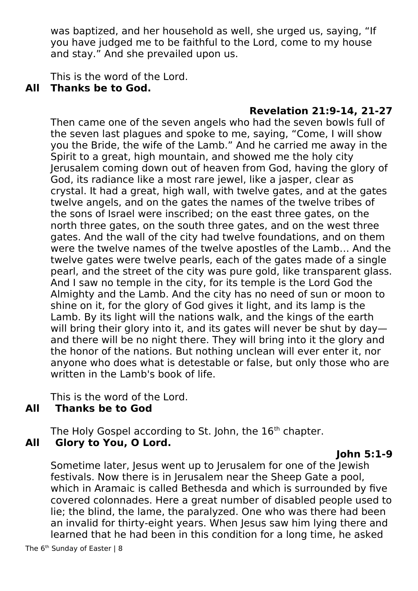was baptized, and her household as well, she urged us, saying, "If you have judged me to be faithful to the Lord, come to my house and stay." And she prevailed upon us.

This is the word of the Lord.

## **Thanks be to God. All**

**Then came one of th<br>
the seven last plague** had the seven bowls full of<br>saying, "Come, I will show<br>d he carried me away in the<br>wed me the holy city Then came one of the seven angels who had the seven bowls full of the seven last plagues and spoke to me, saying, "Come, I will show you the Bride, the wife of the Lamb." And he carried me away in the Spirit to a great, high mountain, and showed me the holy city Jerusalem coming down out of heaven from God, having the glory of God, its radiance like a most rare jewel, like a jasper, clear as crystal. It had a great, high wall, with twelve gates, and at the gates twelve angels, and on the gates the names of the twelve tribes of the sons of Israel were inscribed; on the east three gates, on the north three gates, on the south three gates, and on the west three gates. And the wall of the city had twelve foundations, and on them were the twelve names of the twelve apostles of the Lamb… And the twelve gates were twelve pearls, each of the gates made of a single pearl, and the street of the city was pure gold, like transparent glass. And I saw no temple in the city, for its temple is the Lord God the Almighty and the Lamb. And the city has no need of sun or moon to shine on it, for the glory of God gives it light, and its lamp is the Lamb. By its light will the nations walk, and the kings of the earth will bring their glory into it, and its gates will never be shut by day and there will be no night there. They will bring into it the glory and the honor of the nations. But nothing unclean will ever enter it, nor anyone who does what is detestable or false, but only those who are written in the Lamb's book of life.

This is the word of the Lord.

## **AII**

The Holy Gospel access The Holy Gospel and The Holy Gospel and The Terms of the Manus Control of the Manus Control of the Manus Control of the Manus Control of the Manus Control of the Manus Control of the Manus Control of The Holy Gospel according to St. John, the  $16<sup>th</sup>$  chapter.

**Sometime later, Jesus we**<br>**Festivals. Now there is in**<br>which in Aramaic is calle **J**ewish<br>| pool,<br>!ed by five<br>ple used to Sometime later, Jesus went up to Jerusalem for one of the Jewish festivals. Now there is in Jerusalem near the Sheep Gate a pool, which in Aramaic is called Bethesda and which is surrounded by five covered colonnades. Here a great number of disabled people used to lie; the blind, the lame, the paralyzed. One who was there had been an invalid for thirty-eight years. When Jesus saw him lying there and learned that he had been in this condition for a long time, he asked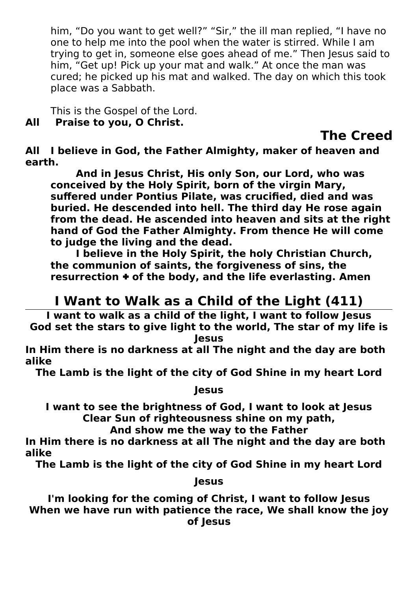him, "Do you want to get well?" "Sir," the ill man replied, "I have no one to help me into the pool when the water is stirred. While I am trying to get in, someone else goes ahead of me." Then Jesus said to him, "Get up! Pick up your mat and walk." At once the man was cured; he picked up his mat and walked. The day on which this took place was a Sabbath.

This is the Gospel of the Lord.<br>**Praise to you, O Christ.** 

## **All**

**The Creed** 

**All** I believe in God, the Fat<br>earth.<br>And in lesus Christ.

**neaven and<br>who was<br>Jary,<br>d and was And in Jesus Christ, His only Son, our Lord, who was<br>
conceived by the Holy Spirit, born of the virgin Mary,<br>
suffered under Pontius Pilate, was crucified, died and was** erth.com<br>**earth**<br>and the **buried. He descended into hell. The third day He rose again from the dead. He ascended into heaven and sits at the right** suffered under Pontius Pilate, was crucified, died and<br>buried. He descended into hell. The third day He rose<br>from the dead. He ascended into heaven and sits at tl<br>hand of God the Father Almighty. From thence He will buried. He descended into hell. The third day He rose again<br>from the dead. He ascended into heaven and sits at the rig<br>hand of God the Father Almighty. From thence He will com<br>to judge the living and the dead. **from the dead. He ascended into heaven and sits at the righ<br>hand of God the Father Almighty. From thence He will come<br>to judge the living and the dead.<br>I believe in the Holy Spirit, the holy Christian Church, from the dead.**<br>The judge the living and the dead.<br>I believe in the Holy Spirit, the holy Christian Church,<br>the communion of saints, the forgiveness of sins, the

**hand the dead.**<br> **hand the dead.**<br> **hand the Holy Spirit, the holy Christian Church,<br>
the communion of saints, the forgiveness of sins, the<br>
resurrection + of the body, and the life everlasting. Amen** I believe in the Holy Spirit, the<br>the communion of saints, the forg<br>resurrection + of the body, and th **INCOMMUNION COMMUNION OF SAINTS, the forgiveness of sins, the rrection + of the body, and the life everlasting. Amen<br>The Walk as a Child of the Light (411)** 

**the communist of the body, and the life everlasting. Amen<br>
<b>1 Want to Walk as a Child of the Light (411)**<br>
want to walk as a child of the light, I want to follow Jesus<br>
Set the stars to give light to the world, The star o I want to walk as a child of the light, I want to follow Jesus<br>d set the stars to give light to the world, The star of my life

God set the stars to give light to the world, The star of my life is<br>Jesus<br>In Him there is no darkness at all The night and the day are both<br>alike **God set the stars to give light to the world, The star of my life is** *a*ll Th<br>city o<br>lesus **In Him there is no distribution of the city of God Shine in my heart Lord<br>
Jesus** 

The<br>I

**The Lamb is the light of the city of Share and My Jesus<br>Jesus<br>Clear Sun of righteousness shine on my path,<br>Clear Sun of righteousness shine on my path,** *y*<br>is of (<br>usnes<br>he wa<br>all Tł

**I Clear Sun of righteousness shine on my path,<br>And show me the way to the Father<br>lim there is no darkness at all The night and the day are bottle to the contract of the state of the state of the state of the state of the** And show me the way to the Father<br>re is no darkness at all The night and the day<br>b is the light of the city of God Shine in my he **And darkness at all The night and the<br>
He light of the city of God Shine in m**<br> **Lesus In Him the Lamb is the light of the city of God Shine in my heart Lord<br>
Jesus** 

 $\frac{1}{2}$ <br>**a The Lamb is the light of the light of Shine in my heart Lord**<br>Jesus<br>Vhen we have run with patience the race, We shall know the jo *J*<br>of Ch<br>nce th<br>f Jesu When we have run with patience the race, We shall know the joy<br>of lesus When we have patients the race, we shall know the joy<br>of Jesus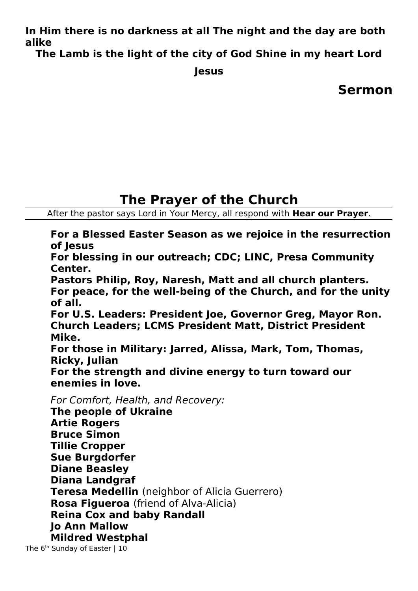alike<br> **In Him the light of the city of God Shine in my heart Lord**<br> **In the Lamb is the light of the city of God Shine in my heart Lord** 

**a**<br>The **The Lamb is the light of the city of Code Chine in my heart Lord**<br>Jesus<br>Sermo

**Jesus**

**Sermon**

After the pastor says Lord in Your Mercy, all respond with Hear our Prayer.

The Tays Lord in Your Mercy, all respond with **Hear our Prayer.**<br> **Hear Season as we rejoice in the resurrect**<br> **In our outreach; CDC; LINC, Presa Community** of Jesus<br>For blessing in our outreach; CDC; LINC, Presa Community<br>Center.<br>Pastors Philip, Roy, Naresh, Matt and all church planters. **For bles<br>Center.<br>Pastors<br>For pea Formal Center.**<br>Pastors Philip, Roy, Naresh, Matt and all church planters.<br>For peace, for the well-being of the Church, and for the uni<br>of all. Pastors<br>For pea<br>of all.<br>For U.S For peace, for the well-being of the Church, and for the **u**<br>of all.<br>For U.S. Leaders: President Joe, Governor Greg, Mayor Ro<br>Church Leaders; LCMS President Matt, District President **For peace, for the well-being of the Church, and for the unity** For U<br>Churc<br>Mike.<br>For th **Church Leaders; LCMS President Matt, District President<br>Mike.<br>For those in Military: Jarred, Alissa, Mark, Tom, Thomas,<br>Ricky, Julian** Mike.<br>For those in Military: Jarred, Alissa, Mark, Tom, Thomas,<br>Ricky, Julian<br>For the strength and divine energy to turn toward our For t<del>l</del><br>Ricky<br>For tl<br>enem **Ficky, Julian<br>For the strength and divine energy to turn toward our<br>enemies in love.<br>For Comfort. Health, and Recoverv: For the stre<br>enemies in l<br>For Comfort, H<br>The people of For the strength and dividends and dividend and dividend and dividends and dividends and dividends and dividends**<br>For Comfort, Health, and Recovery:<br>**The people of Ukraine**<br>Artie Rogers **For Comfort, Health<br>The people of Uk<br>Artie Rogers<br>Bruce Simon** For Comfort, Health, and Recovery: **Artie Rogers<br>Bruce Simon<br>Tillie Cropper<br>Sue Burgdorfer Bruce Simon<br>Tillie Cropper<br>Sue Burgdorf<br>Diane Beasle<br>Diane Beasle Tillie Croppe<br>Sue Burgdor<br>Diane Beasle<br>Diana Landg Sue Burgdorfe<br>Diane Beasley<br>Diana Landgra<br>Teresa Medell Diane Beasley<br>Diana Landgraf<br>Teresa Medellir<br>Rosa Figueroa Diana Landgra<br>Teresa Medelli<br>Rosa Figueroa<br>Reina Cox and Teresa Medellin** (neighbor of Alicia Guerrero)<br>**Rosa Figueroa** (friend of Alva-Alicia)<br>**Reina Cox and baby Randall<br>Jo Ann Mallow<br>Mildred Westphal Rosa Figueroa** (friend of Alva-Alicia)<br>**Reina Cox and baby Randall**<br>**Io Ann Mallow Jo Ann Mallow<br>Mildred Westphal**<br>Sunday of Easter | 10 **Mildred Westp**<br>Sunday of Easter | 10 The 6<sup>th</sup> Sunday of Easter | 10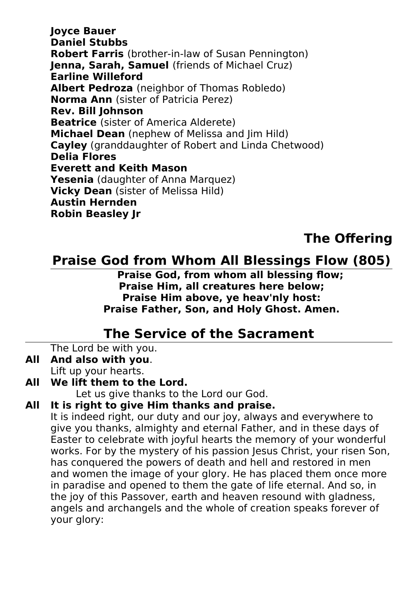Daniel Stub**k<br>Robert Farri:<br>Jenna, Sarah<br>Earline Wille Robert Farris** (brother-in-law of Susan Pennington)<br>**Jenna, Sarah, Samuel** (friends of Michael Cruz)<br>**Earline Willeford**<br>**Albert Pedroza** (neighbor of Thomas Robledo)<br>**Norma Ann** (sister of Patricia Perez) **Jenna, Sarah, Samuel** (friends of Michael Cruz)<br> **Earline Willeford<br>
Albert Pedroza** (neighbor of Thomas Robledo)<br> **Norma Ann** (sister of Patricia Perez) **Rev. Bill Johnson Albert Pedroza** (neighbor of Thomas Robledo)<br>**Norma Ann** (sister of Patricia Perez)<br>**Rev. Bill Johnson**<br>**Beatrice** (sister of America Alderete)<br>**Michael Dean** (nephew of Melissa and Jim Hild) **Norma Ann** (sister of Patricia Perez)<br>**Rev. Bill Johnson<br>Beatrice** (sister of America Alderete<br>**Michael Dean** (nephew of Melissa a<br>**Cayley** (granddaughter of Robert an **Beatrice (sister of<br>Michael Dean (ne<br>Cayley (granddau)<br>Delia Flores Beatrice** (sister of America Alderete)<br>**Michael Dean** (nephew of Melissa ar<br>Cayley (granddaughter of Robert and<br>Delia Flores<br>Everett and Keith Mason Michael Dean (nephew of Melissa and Jim Hild)<br>Cayley (granddaughter of Robert and Linda Chet<br>Delia Flores<br>Everett and Keith Mason<br>Yesenia (daughter of Anna Marquez) **Cayley** (granddaughter of Robert and Linda Chetwood)<br>**Delia Flores<br>Everett and Keith Mason<br><b>Yesenia** (daughter of Anna Marquez)<br>**Vicky Dean** (sister of Melissa Hild) **Everett and<br>Yesenia (dat<br>Vicky Dean<br>Austin Hern Yesenia** (daughter of Anna Marquez)<br>**Vicky Dean** (sister of Melissa Hild)<br>**Austin Hernden**<br>Robin Beasley Jr **Vicky Dean** (sister of Melissa Hild)<br>**Austin Hernden**<br><mark>Robin Beasley Jr</mark> **Robin Beasley Jr** 

## **Praise God f**

**S Flow (805)**<br>Ig flow;<br>Iow;<br>Jost:<br>Amon **Praise God, from whom all blessing flow;<br>Praise Him, all creatures here below;<br>Praise Him above, ye heav'nly host:<br>Praise Father, Son, and Holy Ghost. Amen. Praise Him, all creatures here below;**<br>**Praise Him above, ye heav'nly host:**<br>**Praise Father, Son, and Holy Ghost. Amen.**<br>**The Service of the Sacrament Praise Him above, ve heav'nly host: Praise Him above, ye heav'nly host:<br>ise Father, Son, and Holy Ghost. Am<br><u>e Service of the Sacrament<br>th you.**</u>

## **The Service of the Sacrament**<br>e with you.<br>with you.

The Lord be with you.<br>And also with you.

- **All And also with you.**<br>Lift up your hearts.<br>**All We lift them to the**<br>Let us give thar<br>**All It is right to give F** Lift up your hearts.
- 

**The Service of the Sacrament Cord be with you.<br>
<b>The Service of the Sacramental Sacrament Condensity**<br>
Let us give thanks to the Lord our God.

Let us give thanks to th<br>**All It is right to give Him tha**<br>It is indeed right, our duty ar<br>give you thanks, almighty ar It is indeed right, our duty and our joy, always and everywhere to<br>give you thanks, almighty and eternal Father, and in these days of<br>Easter to celebrate with joyful hearts the memory of your wonderful<br>works. For by the my It is indeed right, our duty and our joy, always and everywhere to give you thanks, almighty and eternal Father, and in these days of Easter to celebrate with joyful hearts the memory of your wonderful has conquered the powers of death and hell and restored in men and women the image of your glory. He has placed them once more in paradise and opened to them the gate of life eternal. And so, in the joy of this Passover, earth and heaven resound with gladness, angels and archangels and the whole of creation speaks forever of your glory: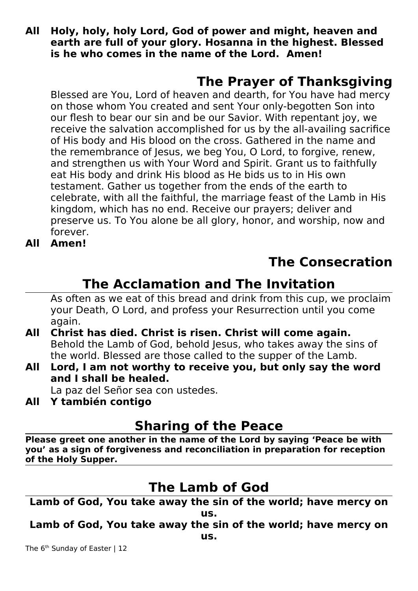**Allaly, holy, holy Lord, God of power and might, heaven and earth are full of your glory. Hosanna in the highest. Blessed is he who comes in the name of the Lord. Amen!<br>The Prayer of Thanksgiving All is he who comes in the name of the Lord. Amen!**<br>**The Prayer of Thanksgiving**<br>Blessed are You, Lord of heaven and dearth, for You have had mercy

**is he who comes in the name of the Prayer of Tha<br><b>Blessed are You, Lord of heaven and dearth, for You hat the name of the name of the name of the name of the name of** Blessed are You, Lord of heaven and dearth, for You have had mercy<br>on those whom You created and sent Your only-begotten Son into<br>our flesh to bear our sin and be our Savior. With repentant joy, we<br>receive the salvation ac on those whom You created and sent Your only-begotten Son into our flesh to bear our sin and be our Savior. With repentant joy, we receive the salvation accomplished for us by the all-availing sacrifice of His body and His blood on the cross. Gathered in the name and the remembrance of Jesus, we beg You, O Lord, to forgive, renew, and strengthen us with Your Word and Spirit. Grant us to faithfully eat His body and drink His blood as He bids us to in His own testament. Gather us together from the ends of the earth to celebrate, with all the faithful, the marriage feast of the Lamb in His kingdom, which has no end. Receive our prayers; deliver and preserve us. To You alone be all glory, honor, and worship, now and forever.

ΔII Amen!

## **The Consecration**

**All Amen! Invitation<br>
Som this cup, we proclaim<br>
ection until you come<br>
Some again** As often as we eat of this bread and drink from this cup, we proclaim<br>your Death, O Lord, and profess your Resurrection until you come<br>again.<br>**Christ has died. Christ is risen. Christ will come again.**<br>Behold the Lamb of G your Death, O Lord, and profess your Resurrection until you come again.

- AII Behold the Lamb of God, behold Jesus, who takes away the sins of the world. Blessed are those called to the supper of the Lamb.
- Behold the Lamb of God, behold Jesus, who takes away the si<br>the world. Blessed are those called to the supper of the Lamb<br>**All** Lord, I am not worthy to receive you, but only say the<br>and I shall be healed. **All I shall be healed.**<br>
La paz del Señor sea con ustedes.<br> **All Y también contigo**

La paz del Señor sea con ustedes.<br>**Y también contigo<br>Sharing of t** 

کر<br>Sh<br>Please greet one another i<br>you' as a sign of forgivene **Share in the name of the Lord by s<br>
eness and reconciliation in prep<br>
The Lamb of God Please is a sign of forgiveness and reconciliation in preparation for reception**<br> **Plane Book**<br> **Plane Lamb of God yout a sign of the Holy Supper.**<br> **The Lamb of God** 

<u>**Lamb of God, Yo**</u> **The Sin of the US.**<br> **E** away the sin of the US.

**Lamb of God, You take away the sin of the world; have mercy on**<br>he 6<sup>th</sup> Sunday of Easter | 12 **us. Lamber of God, You take away of Easter | 12**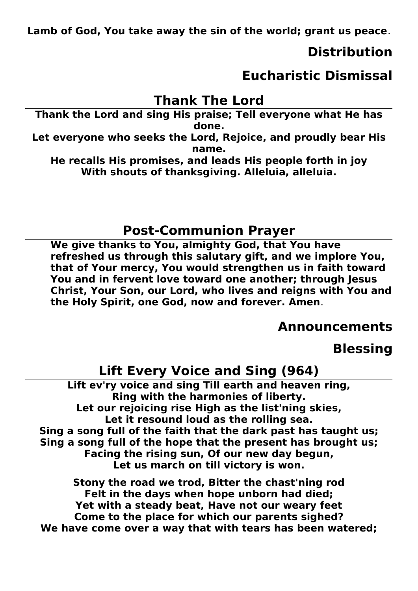**Lamb of God, You take away the sin of the world; grant us peace**.

Thank the Lord and sing His praise; Tell everyone what He has ord<br>'ell everyone what He has<br>oice, and proudly bear His **Thank the Lord and sing His praise; Tell everyone what He has**<br>
done.<br>
Let everyone who seeks the Lord, Rejoice, and proudly bear His<br>
name.<br>
He recalls His promises, and leads His people forth in joy

Lord, l<br>name.<br>nd lea<br>csgivi

**Let us a**<br> **Let be computed the recalls His promises, and leads His people forth in joy**<br>
With shouts of thanksgiving. Alleluia, alleluia. nd lea<br>ksgivir<br> **With shouts of thanksgiving. Alleluia, alleluia. With shouts of thanksgiving. Alleluia, alleluia.**

**Post-Communion Prayer<br>We give thanks to You, almighty God, that You have<br>refreshed us through this salutary gift, and we implore You,<br>that of Your mercy, You would strengthen us in faith toward<br>You and in fervent love tow** refreshed us through this salutary gift, and we implore You, that of Your mercy, You would strengthen us in faith toward<br>You and in fervent love toward one another; through Jesus<br>Christ, Your Son, our Lord, who lives and reigns with You and<br>the Holy Spirit, one God, now and forever. **You and in fervent love toward one another; through Jesus<br>Christ, Your Son, our Lord, who lives and reigns with You and<br>the Holy Spirit, one God, now and forever. Amen. Christ, Your Son, our Lord, who lives and reigns with You and the Holy Spirit, one God, now and forever. Amen.<br>The Holy Spirit, one God, now and forever. Amen.<br><b>Announcemen** the Holy Spirit, one God, now and forever. Amen.<br>**Announcements**<br>Blessing

**Annon:**<br>Lift Every Voice and Sing (964)<br>Lift ev'ry voice and sing Till earth and heaven ring,<br>Ring with the harmonies of liberty. **h**<br>**bless**<br>**b**<br>**B**, **Lift ev'ry voice and sing Till earth and heaven ring,<br>
Ring with the harmonies of liberty.<br>
Let our rejoicing rise High as the list'ning skies,<br>
Let it resound loud as the rolling sea.<br>
a song full of the faith that the d** Let our rejoicing rise High as the list'ning skies,<br>
Let it resound loud as the rolling sea.<br>
song full of the faith that the dark past has tau<br>
song full of the hope that the present has brous<br>
Facing the rising sun, Of o full of the faith that the dark past ha<br>full of the hope that the present has<br>ing the rising sun, Of our new day beg<br>Let us march on till victory is won. Sing a song full of the hope that the present has brought us;<br>Facing the rising sun, Of our new day begun,<br>Let us march on till victory is won.

Stony the road we trod, Bitter the chast'ning rod **Factor Servester, Let us march on till victory is won.**<br>
Felt in the days when hope unborn had died;<br>
Felt in the days when hope unborn had died;<br>
et with a steady beat. Have not our weary fee **Let road we trod, Bitter the chast'n<br>In the days when hope unborn had<br>In a steady beat, Have not our wear<br>o the place for which our parents s** Stony the road we trod, Bitter the chast'ning rod<br>Felt in the days when hope unborn had died;<br>Yet with a steady beat, Have not our weary feet<br>Come to the place for which our parents sighed?<br>I've come over a way that with t **Felt in the days when hope unborn had died; Come to the place for which our parents sighed?**<br>Ve come over a way that with tears has been wa<br> We have come over a way that with tears has been watered: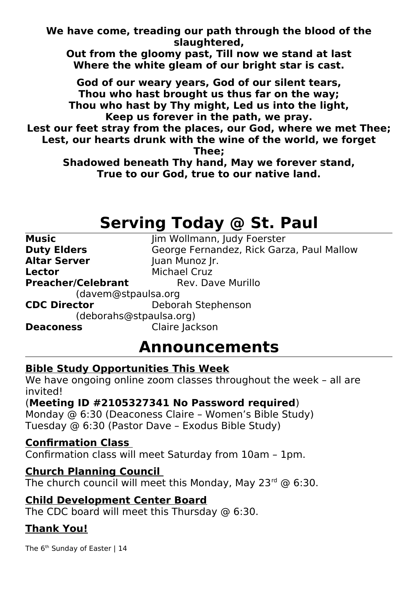Slaughtered,<br>Out from the gloomy past, Till now we stand at last<br>Where the white gleam of our bright star is cast.<br>God of our weary years. God of our silent tears. **iv past, Till n**<br>|leam of our |<br>|years, God o<br>|ought us thu

Where the white gleam of our bright star is cast.<br>God of our weary years, God of our silent tears,<br>Thou who hast brought us thus far on the way;<br>Thou who hast by Thy might. Led us into the light. God of our weary years, God of our silent tears,<br>Thou who hast brought us thus far on the way;<br>Thou who hast by Thy might, Led us into the light,<br>Keep us forever in the path, we pray. Thou who hast brought us thus far on the way;<br>hou who hast by Thy might, Led us into the ligh<br>Keep us forever in the path, we pray.<br>feet stray from the places, our God, where we n **Thy might, Led us into the ligh<br>Keep us forever in the path, we pray.<br>Feet stray from the places, our God, where we rur hearts drunk with the wine of the world, we** 

**The Mass of The Warehouse Server in the path, we pray.**<br> **The hast by The Server in the places, our God, where we me<br>
our hearts drunk with the wine of the world, we four the server of the world, we four the server of the Keep Stray from the places, our God, where<br>
Parts drunk with the wine of the world<br>
Thee;<br>
red beneath Thy hand, May we foreve** Lest, our hearts drunk with the wine of the world, we forget<br>Thee:

**LEST THESP, ONEX**<br>
Shadowed beneath Thy hand, May we forever stand,<br>
True to our God, true to our native land. **hand**<br>true to **True to our God, true to our native land,** 

## **Serving Today @ St. Paul**

| <b>Music</b>              | Jim Wollmann, Judy Foerster               |
|---------------------------|-------------------------------------------|
| <b>Duty Elders</b>        | George Fernandez, Rick Garza, Paul Mallow |
| <b>Altar Server</b>       | Juan Munoz Jr.                            |
| <b>Lector</b>             | <b>Michael Cruz</b>                       |
| <b>Preacher/Celebrant</b> | Rev. Dave Murillo                         |
| (davem@stpaulsa.org       |                                           |
| <b>CDC Director</b>       | Deborah Stephenson                        |
| (deborahs@stpaulsa.org)   |                                           |
| <b>Deaconess</b>          | Claire Jackson                            |
|                           | <b>Announcements</b>                      |

## **Announcements**<br>Bible Study Opportunities This Week

We have ongoing online zoom classes throughout the week – all are<br>invited!<br>(Meeting ID #2105327341 No Password required)<br>Monday @ 6:30 (Deaconess Claire – Women's Bible Study) invited!

## (Meeting ID #2105327341 No Password required)

**Analieus This Week<br>
E zoom classes throughout the zoom classes throughout the 27341 No Password requires<br>
Anness Claire - Women's Bible<br>
The Dave - Exodus Bible Study Meeting ID #2105327341 No Password required**)<br>Monday @ 6:30 (Deaconess Claire - Women's Bible Stuc<br>Tuesday @ 6:30 (Pastor Dave - Exodus Bible Study)<br>Confirmation Class will meet Saturday from 10am - 1pm Monday @ 6:30 (Deaconess Claire – Women's Bible Study) Tuesday @ 6:30 (Pastor Dave – Exodus Bible Study)

Confirmation class will meet Saturday from 10am – 1pm.

## **Confirmation class wil<br>
<b>Church Planning Co**<br>
The church council wi

The church council will meet this Monday, May 23<sup>rd</sup> @ 6:30.<br> **Child Development Center Board**<br>
The CDC board will meet this Thursday @ 6:30.

The CDC board will meet this Thursday @ 6:30.<br> **Thank You!**<br>The 6<sup>th</sup> Sunday of Easter | 14

The 6<sup>th</sup> Sunday of The 6<sup>th</sup> Sunday of Easter | 14